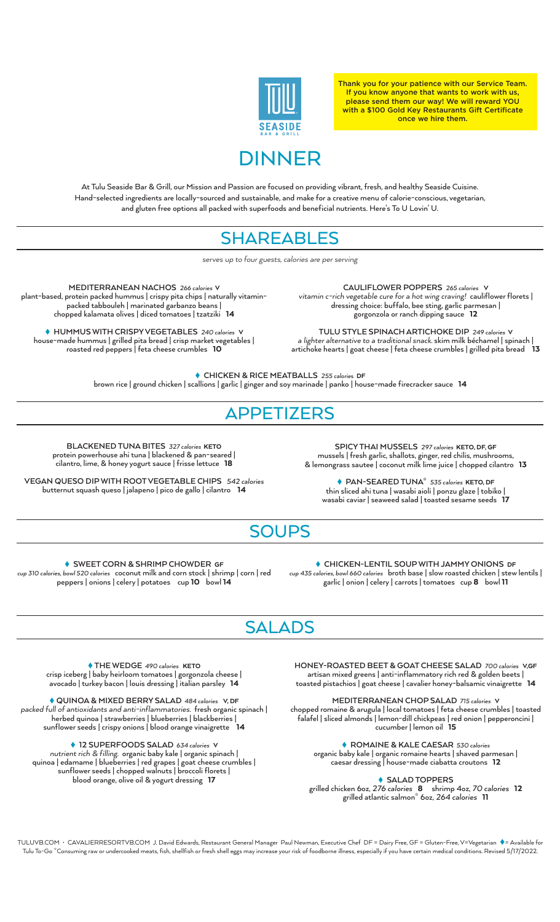

Thank you for your patience with our Service Team. If you know anyone that wants to work with us, please send them our way! We will reward YOU with a \$100 Gold Key Restaurants Gift Certificate once we hire them.

# DINNER

At Tulu Seaside Bar & Grill, our Mission and Passion are focused on providing vibrant, fresh, and healthy Seaside Cuisine. Hand-selected ingredients are locally-sourced and sustainable, and make for a creative menu of calorie-conscious, vegetarian, and gluten free options all packed with superfoods and beneficial nutrients. Here's To U Lovin' U.

#### **SHAREABLES**

*serves up to four guests, calories are per serving*

**MEDITERRANEAN NACHOS** 266 calories V plant-based, protein packed hummus | crispy pita chips | naturally vitaminpacked tabbouleh | marinated garbanzo beans | chopped kalamata olives | diced tomatoes | tzatziki 14

 **HUMMUS WITH CRISPY VEGETABLES** 240 caloriesV house-made hummus | grilled pita bread | crisp market vegetables | roasted red peppers | feta cheese crumbles 10

**CAULIFLOWER POPPERS** 265 caloriesV *vitamin c-rich vegetable cure for a hot wing craving!* cauliflower florets | dressing choice: buffalo, bee sting, garlic parmesan | gorgonzola or ranch dipping sauce 12

**TULU STYLE SPINACH ARTICHOKE DIP** 249 calories V *a lighter alternative to a traditional snack.* skim milk béchamel | spinach | artichoke hearts | goat cheese | feta cheese crumbles | grilled pita bread 13

 **CHICKEN & RICE MEATBALLS** 255 calories DF brown rice | ground chicken | scallions | garlic | ginger and soy marinade | panko | house-made firecracker sauce 14

#### APPETIZERS

**BLACKENED TUNA BITES** 327 caloriesKETO protein powerhouse ahi tuna | blackened & pan-seared | cilantro, lime, & honey yogurt sauce | frisse lettuce18

**VEGAN QUESO DIP WITH ROOT VEGETABLE CHIPS** 542 calories butternut squash queso | jalapeno | pico de gallo | cilantro 14

**SPICY THAI MUSSELS** 297 caloriesKETO, DF, GF mussels | fresh garlic, shallots, ginger, red chilis, mushrooms, & lemongrass sautee | coconut milk lime juice | chopped cilantro  $\,$  13  $\,$ 

 **PAN-SEARED TUNA\*** 535 caloriesKETO, DF thin sliced ahi tuna | wasabi aioli | ponzu glaze | tobiko | wasabi caviar | seaweed salad | toasted sesame seeds 17

## **SOUPS**

 **SWEET CORN & SHRIMP CHOWDER** GF cup 310 calories, bowl 520 caloriescoconut milk and corn stock | shrimp | corn | red peppers | onions | celery | potatoes cup 10 bowl 14

 **CHICKEN-LENTIL SOUP WITH JAMMY ONIONS** DF cup 435 calories, bowl 660 caloriesbroth base | slow roasted chicken | stew lentils | garlic | onion | celery | carrots | tomatoes cup 8 bowl 11

## **SALADS**

 **THE WEDGE** 490 caloriesKETO crisp iceberg | baby heirloom tomatoes | gorgonzola cheese | avocado | turkey bacon | louis dressing | italian parsley 14

 **QUINOA & MIXED BERRY SALAD** 484 caloriesV, DF *packed full of antioxidants and anti-inflammatories.* fresh organic spinach | herbed quinoa | strawberries | blueberries | blackberries | sunflower seeds | crispy onions | blood orange vinaigrette 14

 **12 SUPERFOODS SALAD** 634 caloriesV *nutrient rich & filling.* organic baby kale | organic spinach | quinoa | edamame | blueberries | red grapes | goat cheese crumbles | sunflower seeds | chopped walnuts | broccoli florets | blood orange, olive oil & yogurt dressing 17

**HONEY-ROASTED BEET & GOAT CHEESE SALAD** 700 caloriesV,GF artisan mixed greens | anti-inflammatory rich red & golden beets | toasted pistachios | goat cheese | cavalier honey-balsamic vinaigrette 14

**MEDITERRANEAN CHOP SALAD** 715 caloriesV chopped romaine & arugula | local tomatoes | feta cheese crumbles | toasted falafel | sliced almonds | lemon-dill chickpeas | red onion | pepperoncini | cucumber | lemon oil 15

 **ROMAINE & KALE CAESAR** 530 calories organic baby kale | organic romaine hearts | shaved parmesan | caesar dressing | house-made ciabatta croutons12

 **SALAD TOPPERS**

grilled chicken 6oz, 276 calories 8 shrimp 4oz, 70 calories 12 grilled atlantic salmon\* 6oz, 264 calories 11

TULUVB.COM · CAVALIERRESORTVB.COM J. David Edwards, Restaurant General Manager Paul Newman, Executive Chef DF = Dairy Free, GF = Gluten-Free, V=Vegetarian ♦ = Available for Tulu To-Go \*Consuming raw or undercooked meats, fish, shellfish or fresh shell eggs may increase your risk of foodborne illness, especially if you have certain medical conditions. Revised 5/17/2022.